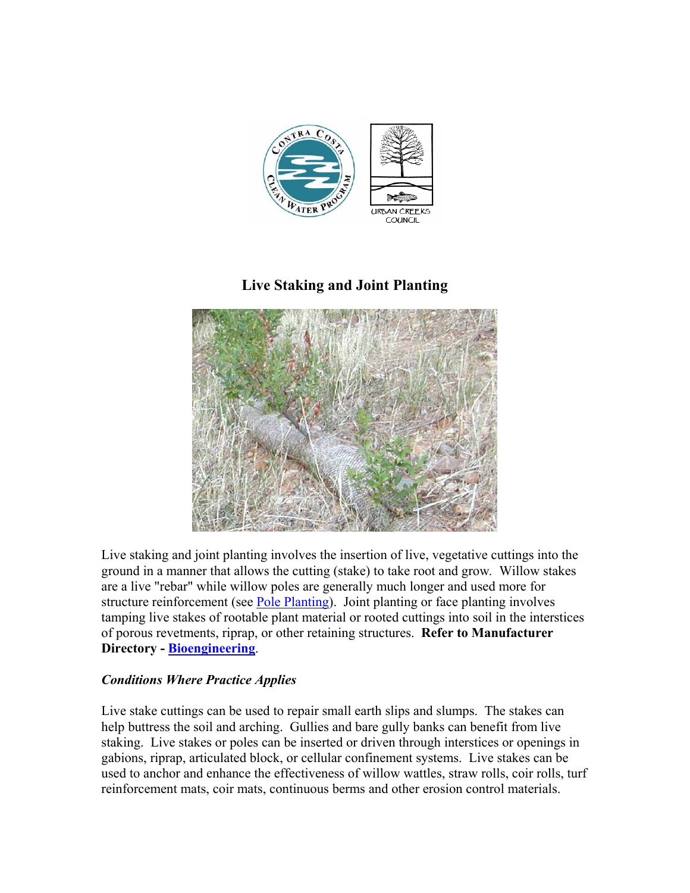

# **Live Staking and Joint Planting**



Live staking and joint planting involves the insertion of live, vegetative cuttings into the ground in a manner that allows the cutting (stake) to take root and grow*.* Willow stakes are a live "rebar" while willow poles are generally much longer and used more for structure reinforcement (see Pole Planting). Joint planting or face planting involves tamping live stakes of rootable plant material or rooted cuttings into soil in the interstices of porous revetments, riprap, or other retaining structures. **Refer to Manufacturer Directory - Bioengineering**.

## *Conditions Where Practice Applies*

Live stake cuttings can be used to repair small earth slips and slumps. The stakes can help buttress the soil and arching. Gullies and bare gully banks can benefit from live staking. Live stakes or poles can be inserted or driven through interstices or openings in gabions, riprap, articulated block, or cellular confinement systems. Live stakes can be used to anchor and enhance the effectiveness of willow wattles, straw rolls, coir rolls, turf reinforcement mats, coir mats, continuous berms and other erosion control materials.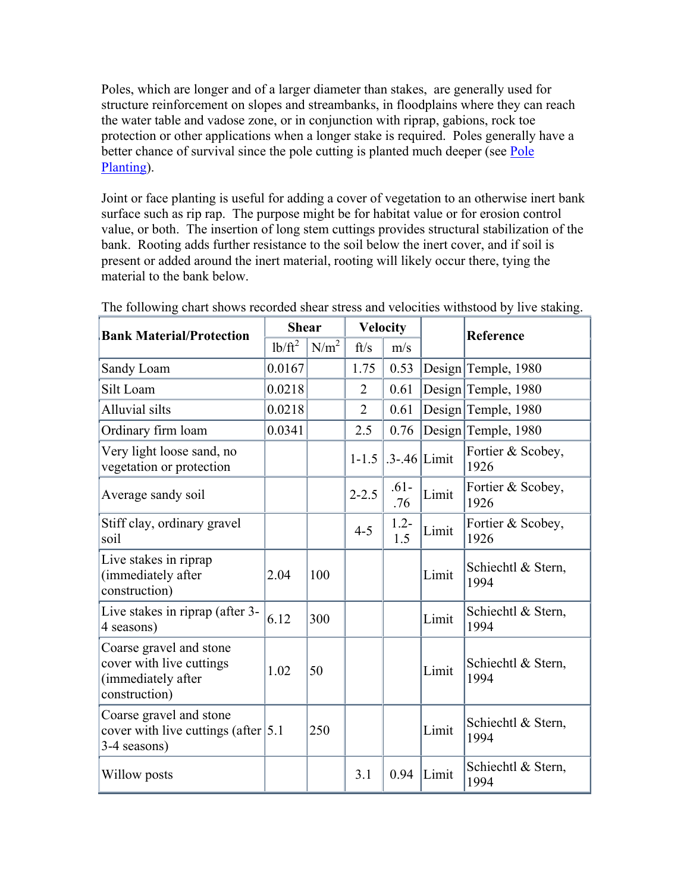Poles, which are longer and of a larger diameter than stakes, are generally used for structure reinforcement on slopes and streambanks, in floodplains where they can reach the water table and vadose zone, or in conjunction with riprap, gabions, rock toe protection or other applications when a longer stake is required. Poles generally have a better chance of survival since the pole cutting is planted much deeper (see Pole Planting).

Joint or face planting is useful for adding a cover of vegetation to an otherwise inert bank surface such as rip rap. The purpose might be for habitat value or for erosion control value, or both. The insertion of long stem cuttings provides structural stabilization of the bank. Rooting adds further resistance to the soil below the inert cover, and if soil is present or added around the inert material, rooting will likely occur there, tying the material to the bank below.

| <b>Bank Material/Protection</b>                                                            | <b>Shear</b> |                  | <b>Velocity</b> |                  |       | <b>Reference</b>           |
|--------------------------------------------------------------------------------------------|--------------|------------------|-----------------|------------------|-------|----------------------------|
|                                                                                            | $1b/ft^2$    | N/m <sup>2</sup> | ft/s            | m/s              |       |                            |
| Sandy Loam                                                                                 | 0.0167       |                  | 1.75            | 0.53             |       | Design Temple, 1980        |
| Silt Loam                                                                                  | 0.0218       |                  | $\overline{2}$  | 0.61             |       | Design Temple, 1980        |
| <b>Alluvial silts</b>                                                                      | 0.0218       |                  | $\overline{2}$  | 0.61             |       | Design Temple, 1980        |
| Ordinary firm loam                                                                         | 0.0341       |                  | 2.5             | 0.76             |       | Design Temple, 1980        |
| Very light loose sand, no<br>vegetation or protection                                      |              |                  | $1 - 1.5$       | $.3 - .46$ Limit |       | Fortier & Scobey,<br>1926  |
| Average sandy soil                                                                         |              |                  | $2 - 2.5$       | $.61 -$<br>.76   | Limit | Fortier & Scobey,<br>1926  |
| Stiff clay, ordinary gravel<br>soil                                                        |              |                  | $4 - 5$         | $1.2 -$<br>1.5   | Limit | Fortier & Scobey,<br>1926  |
| Live stakes in riprap<br>(immediately after<br>construction)                               | 2.04         | 100              |                 |                  | Limit | Schiechtl & Stern,<br>1994 |
| Live stakes in riprap (after 3-<br>4 seasons)                                              | 6.12         | 300              |                 |                  | Limit | Schiechtl & Stern,<br>1994 |
| Coarse gravel and stone<br>cover with live cuttings<br>(immediately after<br>construction) | 1.02         | 50               |                 |                  | Limit | Schiechtl & Stern,<br>1994 |
| Coarse gravel and stone<br>cover with live cuttings (after $ 5.1$ )<br>3-4 seasons)        |              | 250              |                 |                  | Limit | Schiechtl & Stern,<br>1994 |
| Willow posts                                                                               |              |                  | 3.1             | 0.94             | Limit | Schiechtl & Stern,<br>1994 |

The following chart shows recorded shear stress and velocities withstood by live staking.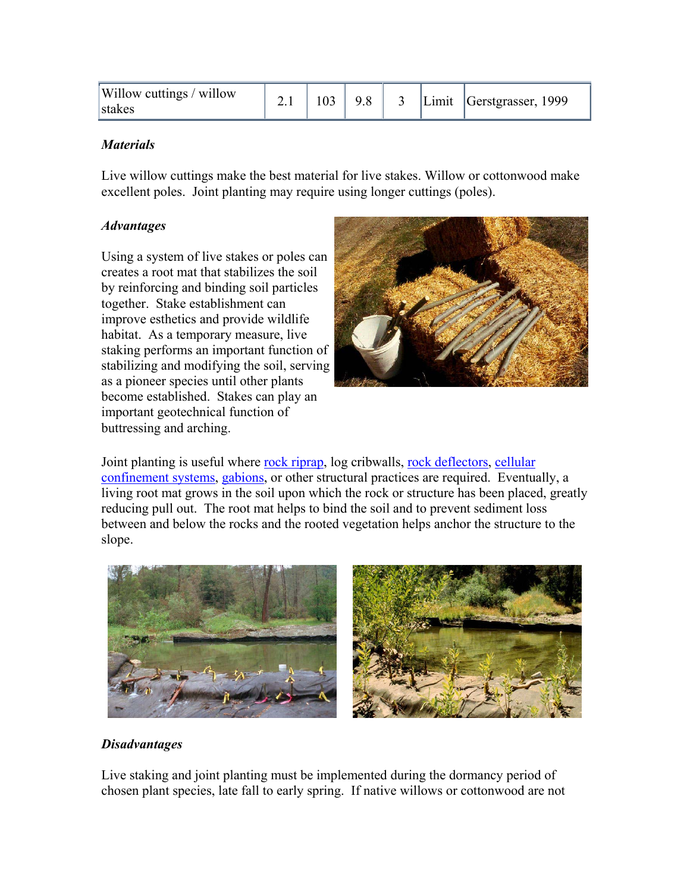| Willow cuttings / willow<br>stakes | <u></u> |  | 9.8 |  |  | Limit Gerstgrasser, 1999 |
|------------------------------------|---------|--|-----|--|--|--------------------------|
|------------------------------------|---------|--|-----|--|--|--------------------------|

#### *Materials*

Live willow cuttings make the best material for live stakes. Willow or cottonwood make excellent poles. Joint planting may require using longer cuttings (poles).

### *Advantages*

Using a system of live stakes or poles can creates a root mat that stabilizes the soil by reinforcing and binding soil particles together. Stake establishment can improve esthetics and provide wildlife habitat. As a temporary measure, live staking performs an important function of stabilizing and modifying the soil, serving as a pioneer species until other plants become established. Stakes can play an important geotechnical function of buttressing and arching.



Joint planting is useful where rock riprap, log cribwalls, rock deflectors, cellular confinement systems, gabions, or other structural practices are required. Eventually, a living root mat grows in the soil upon which the rock or structure has been placed, greatly reducing pull out. The root mat helps to bind the soil and to prevent sediment loss between and below the rocks and the rooted vegetation helps anchor the structure to the slope.



### *Disadvantages*

Live staking and joint planting must be implemented during the dormancy period of chosen plant species, late fall to early spring. If native willows or cottonwood are not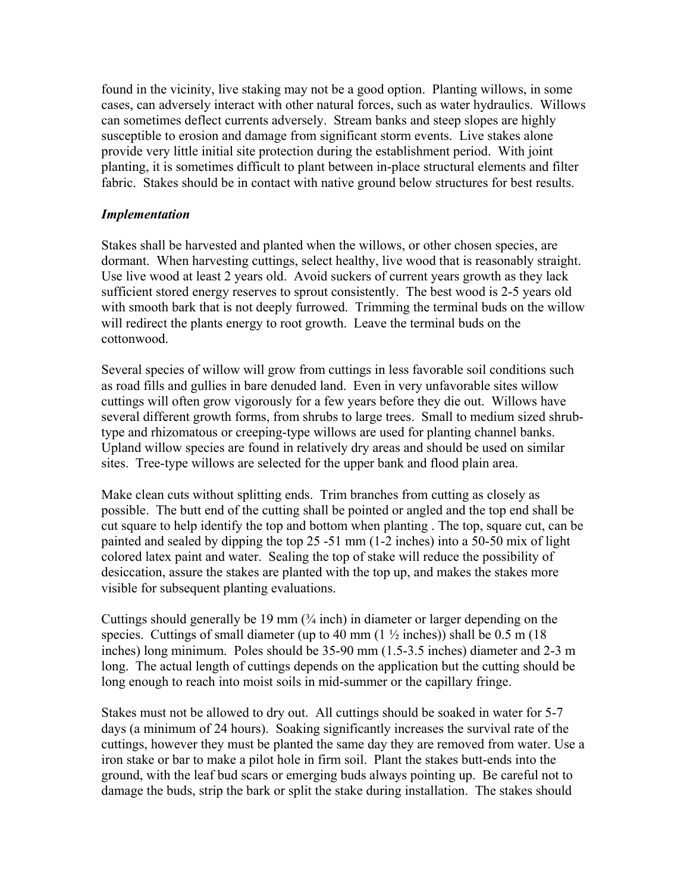found in the vicinity, live staking may not be a good option. Planting willows, in some cases, can adversely interact with other natural forces, such as water hydraulics. Willows can sometimes deflect currents adversely. Stream banks and steep slopes are highly susceptible to erosion and damage from significant storm events. Live stakes alone provide very little initial site protection during the establishment period. With joint planting, it is sometimes difficult to plant between in-place structural elements and filter fabric. Stakes should be in contact with native ground below structures for best results.

#### *Implementation*

Stakes shall be harvested and planted when the willows, or other chosen species, are dormant. When harvesting cuttings, select healthy, live wood that is reasonably straight. Use live wood at least 2 years old. Avoid suckers of current years growth as they lack sufficient stored energy reserves to sprout consistently. The best wood is 2-5 years old with smooth bark that is not deeply furrowed. Trimming the terminal buds on the willow will redirect the plants energy to root growth. Leave the terminal buds on the cottonwood.

Several species of willow will grow from cuttings in less favorable soil conditions such as road fills and gullies in bare denuded land. Even in very unfavorable sites willow cuttings will often grow vigorously for a few years before they die out. Willows have several different growth forms, from shrubs to large trees. Small to medium sized shrubtype and rhizomatous or creeping-type willows are used for planting channel banks. Upland willow species are found in relatively dry areas and should be used on similar sites. Tree-type willows are selected for the upper bank and flood plain area.

Make clean cuts without splitting ends. Trim branches from cutting as closely as possible. The butt end of the cutting shall be pointed or angled and the top end shall be cut square to help identify the top and bottom when planting . The top, square cut, can be painted and sealed by dipping the top 25 -51 mm (1-2 inches) into a 50-50 mix of light colored latex paint and water. Sealing the top of stake will reduce the possibility of desiccation, assure the stakes are planted with the top up, and makes the stakes more visible for subsequent planting evaluations.

Cuttings should generally be 19 mm  $(3/4 \text{ inch})$  in diameter or larger depending on the species. Cuttings of small diameter (up to 40 mm  $(1\frac{1}{2}$  inches)) shall be 0.5 m (18) inches) long minimum. Poles should be 35-90 mm (1.5-3.5 inches) diameter and 2-3 m long. The actual length of cuttings depends on the application but the cutting should be long enough to reach into moist soils in mid-summer or the capillary fringe.

Stakes must not be allowed to dry out. All cuttings should be soaked in water for 5-7 days (a minimum of 24 hours). Soaking significantly increases the survival rate of the cuttings, however they must be planted the same day they are removed from water. Use a iron stake or bar to make a pilot hole in firm soil. Plant the stakes butt-ends into the ground, with the leaf bud scars or emerging buds always pointing up. Be careful not to damage the buds, strip the bark or split the stake during installation. The stakes should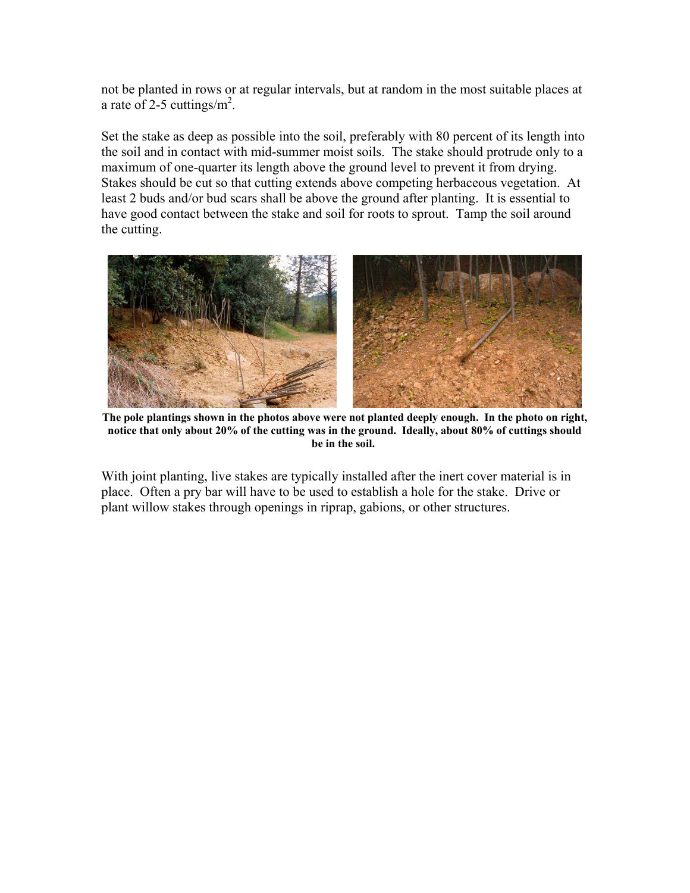not be planted in rows or at regular intervals, but at random in the most suitable places at a rate of 2-5 cuttings/ $m^2$ .

Set the stake as deep as possible into the soil, preferably with 80 percent of its length into the soil and in contact with mid-summer moist soils. The stake should protrude only to a maximum of one-quarter its length above the ground level to prevent it from drying. Stakes should be cut so that cutting extends above competing herbaceous vegetation. At least 2 buds and/or bud scars shall be above the ground after planting. It is essential to have good contact between the stake and soil for roots to sprout. Tamp the soil around the cutting.



**The pole plantings shown in the photos above were not planted deeply enough. In the photo on right, notice that only about 20% of the cutting was in the ground. Ideally, about 80% of cuttings should be in the soil.** 

With joint planting, live stakes are typically installed after the inert cover material is in place. Often a pry bar will have to be used to establish a hole for the stake. Drive or plant willow stakes through openings in riprap, gabions, or other structures.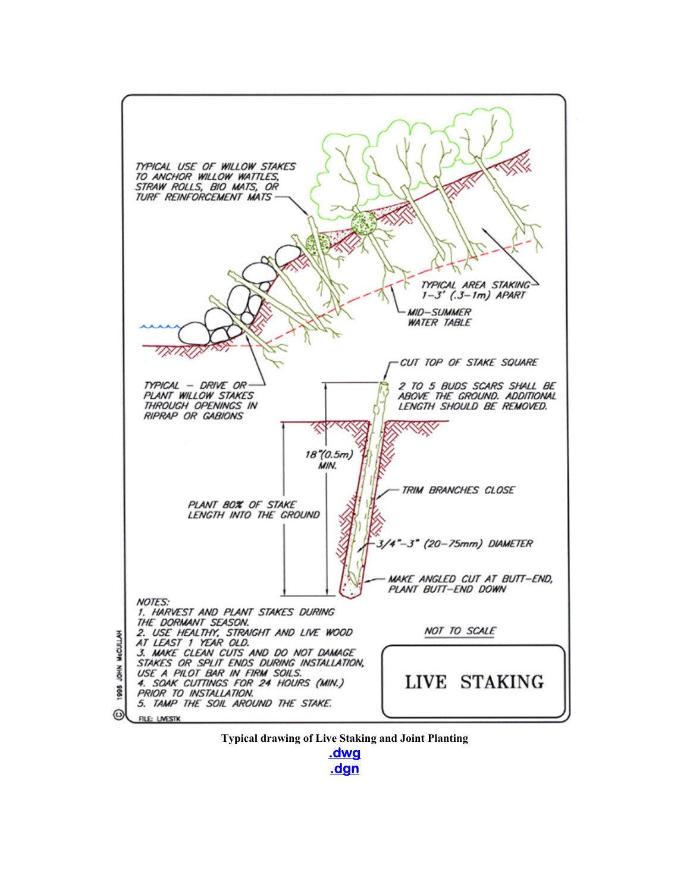



**.dwg .dgn**